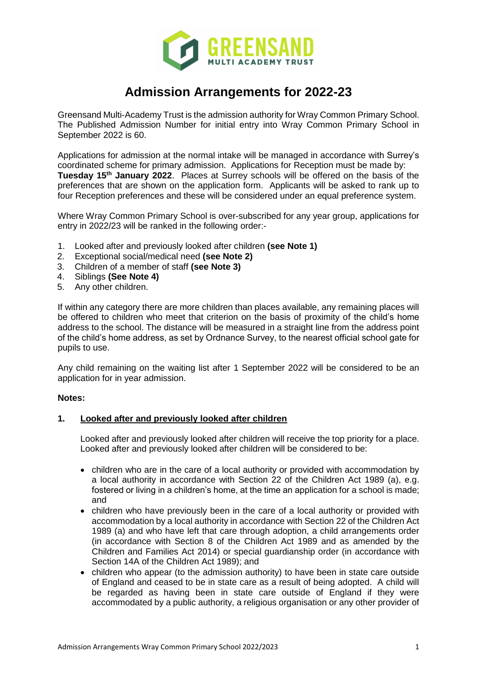

# **Admission Arrangements for 2022-23**

Greensand Multi-Academy Trust is the admission authority for Wray Common Primary School. The Published Admission Number for initial entry into Wray Common Primary School in September 2022 is 60.

Applications for admission at the normal intake will be managed in accordance with Surrey's coordinated scheme for primary admission. Applications for Reception must be made by: **Tuesday 15th January 2022**. Places at Surrey schools will be offered on the basis of the preferences that are shown on the application form. Applicants will be asked to rank up to four Reception preferences and these will be considered under an equal preference system.

Where Wray Common Primary School is over-subscribed for any year group, applications for entry in 2022/23 will be ranked in the following order:-

- 1. Looked after and previously looked after children **(see Note 1)**
- 2. Exceptional social/medical need **(see Note 2)**
- 3. Children of a member of staff **(see Note 3)**
- 4. Siblings **(See Note 4)**
- 5. Any other children.

If within any category there are more children than places available, any remaining places will be offered to children who meet that criterion on the basis of proximity of the child's home address to the school. The distance will be measured in a straight line from the address point of the child's home address, as set by Ordnance Survey, to the nearest official school gate for pupils to use.

Any child remaining on the waiting list after 1 September 2022 will be considered to be an application for in year admission.

#### **Notes:**

# **1. Looked after and previously looked after children**

Looked after and previously looked after children will receive the top priority for a place. Looked after and previously looked after children will be considered to be:

- children who are in the care of a local authority or provided with accommodation by a local authority in accordance with Section 22 of the Children Act 1989 (a), e.g. fostered or living in a children's home, at the time an application for a school is made; and
- children who have previously been in the care of a local authority or provided with accommodation by a local authority in accordance with Section 22 of the Children Act 1989 (a) and who have left that care through adoption, a child arrangements order (in accordance with Section 8 of the Children Act 1989 and as amended by the Children and Families Act 2014) or special guardianship order (in accordance with Section 14A of the Children Act 1989); and
- children who appear (to the admission authority) to have been in state care outside of England and ceased to be in state care as a result of being adopted. A child will be regarded as having been in state care outside of England if they were accommodated by a public authority, a religious organisation or any other provider of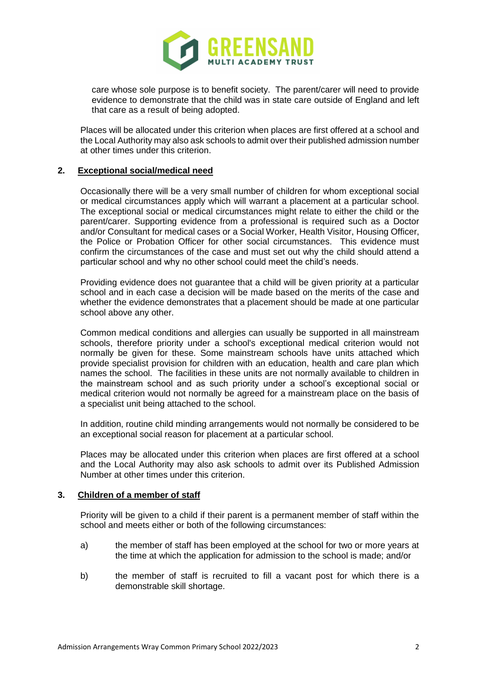

care whose sole purpose is to benefit society. The parent/carer will need to provide evidence to demonstrate that the child was in state care outside of England and left that care as a result of being adopted.

Places will be allocated under this criterion when places are first offered at a school and the Local Authority may also ask schools to admit over their published admission number at other times under this criterion.

## **2. Exceptional social/medical need**

Occasionally there will be a very small number of children for whom exceptional social or medical circumstances apply which will warrant a placement at a particular school. The exceptional social or medical circumstances might relate to either the child or the parent/carer. Supporting evidence from a professional is required such as a Doctor and/or Consultant for medical cases or a Social Worker, Health Visitor, Housing Officer, the Police or Probation Officer for other social circumstances. This evidence must confirm the circumstances of the case and must set out why the child should attend a particular school and why no other school could meet the child's needs.

Providing evidence does not guarantee that a child will be given priority at a particular school and in each case a decision will be made based on the merits of the case and whether the evidence demonstrates that a placement should be made at one particular school above any other.

Common medical conditions and allergies can usually be supported in all mainstream schools, therefore priority under a school's exceptional medical criterion would not normally be given for these. Some mainstream schools have units attached which provide specialist provision for children with an education, health and care plan which names the school. The facilities in these units are not normally available to children in the mainstream school and as such priority under a school's exceptional social or medical criterion would not normally be agreed for a mainstream place on the basis of a specialist unit being attached to the school.

In addition, routine child minding arrangements would not normally be considered to be an exceptional social reason for placement at a particular school.

Places may be allocated under this criterion when places are first offered at a school and the Local Authority may also ask schools to admit over its Published Admission Number at other times under this criterion.

## **3. Children of a member of staff**

Priority will be given to a child if their parent is a permanent member of staff within the school and meets either or both of the following circumstances:

- a) the member of staff has been employed at the school for two or more years at the time at which the application for admission to the school is made; and/or
- b) the member of staff is recruited to fill a vacant post for which there is a demonstrable skill shortage.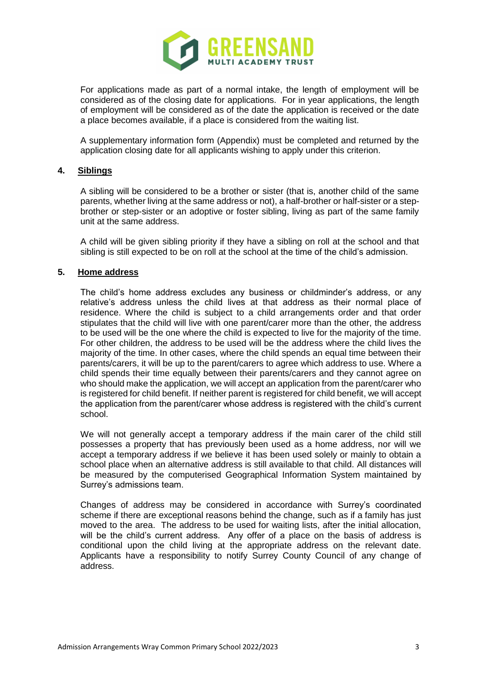

For applications made as part of a normal intake, the length of employment will be considered as of the closing date for applications. For in year applications, the length of employment will be considered as of the date the application is received or the date a place becomes available, if a place is considered from the waiting list.

A supplementary information form (Appendix) must be completed and returned by the application closing date for all applicants wishing to apply under this criterion.

## **4. Siblings**

A sibling will be considered to be a brother or sister (that is, another child of the same parents, whether living at the same address or not), a half-brother or half-sister or a stepbrother or step-sister or an adoptive or foster sibling, living as part of the same family unit at the same address.

A child will be given sibling priority if they have a sibling on roll at the school and that sibling is still expected to be on roll at the school at the time of the child's admission.

## **5. Home address**

The child's home address excludes any business or childminder's address, or any relative's address unless the child lives at that address as their normal place of residence. Where the child is subject to a child arrangements order and that order stipulates that the child will live with one parent/carer more than the other, the address to be used will be the one where the child is expected to live for the majority of the time. For other children, the address to be used will be the address where the child lives the majority of the time. In other cases, where the child spends an equal time between their parents/carers, it will be up to the parent/carers to agree which address to use. Where a child spends their time equally between their parents/carers and they cannot agree on who should make the application, we will accept an application from the parent/carer who is registered for child benefit. If neither parent is registered for child benefit, we will accept the application from the parent/carer whose address is registered with the child's current school.

We will not generally accept a temporary address if the main carer of the child still possesses a property that has previously been used as a home address, nor will we accept a temporary address if we believe it has been used solely or mainly to obtain a school place when an alternative address is still available to that child. All distances will be measured by the computerised Geographical Information System maintained by Surrey's admissions team.

Changes of address may be considered in accordance with Surrey's coordinated scheme if there are exceptional reasons behind the change, such as if a family has just moved to the area. The address to be used for waiting lists, after the initial allocation, will be the child's current address. Any offer of a place on the basis of address is conditional upon the child living at the appropriate address on the relevant date. Applicants have a responsibility to notify Surrey County Council of any change of address.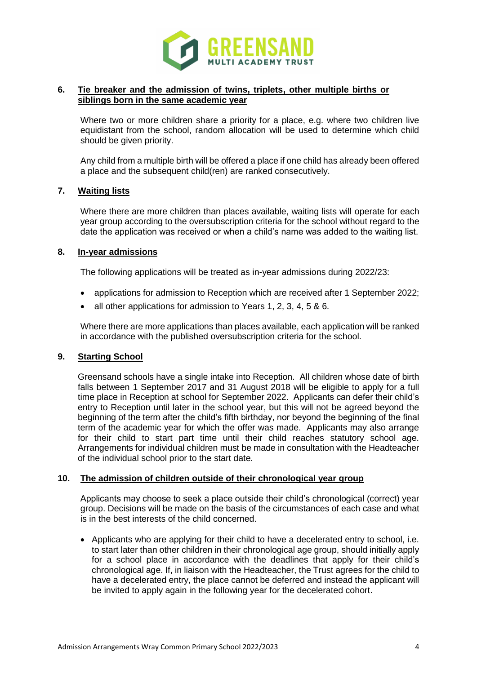

## **6. Tie breaker and the admission of twins, triplets, other multiple births or siblings born in the same academic year**

Where two or more children share a priority for a place, e.g. where two children live equidistant from the school, random allocation will be used to determine which child should be given priority.

Any child from a multiple birth will be offered a place if one child has already been offered a place and the subsequent child(ren) are ranked consecutively.

## **7. Waiting lists**

Where there are more children than places available, waiting lists will operate for each year group according to the oversubscription criteria for the school without regard to the date the application was received or when a child's name was added to the waiting list.

## **8. In-year admissions**

The following applications will be treated as in-year admissions during 2022/23:

- applications for admission to Reception which are received after 1 September 2022;
- all other applications for admission to Years 1, 2, 3, 4, 5 & 6.

Where there are more applications than places available, each application will be ranked in accordance with the published oversubscription criteria for the school.

# **9. Starting School**

Greensand schools have a single intake into Reception. All children whose date of birth falls between 1 September 2017 and 31 August 2018 will be eligible to apply for a full time place in Reception at school for September 2022. Applicants can defer their child's entry to Reception until later in the school year, but this will not be agreed beyond the beginning of the term after the child's fifth birthday, nor beyond the beginning of the final term of the academic year for which the offer was made. Applicants may also arrange for their child to start part time until their child reaches statutory school age. Arrangements for individual children must be made in consultation with the Headteacher of the individual school prior to the start date.

#### **10. The admission of children outside of their chronological year group**

Applicants may choose to seek a place outside their child's chronological (correct) year group. Decisions will be made on the basis of the circumstances of each case and what is in the best interests of the child concerned.

 Applicants who are applying for their child to have a decelerated entry to school, i.e. to start later than other children in their chronological age group, should initially apply for a school place in accordance with the deadlines that apply for their child's chronological age. If, in liaison with the Headteacher, the Trust agrees for the child to have a decelerated entry, the place cannot be deferred and instead the applicant will be invited to apply again in the following year for the decelerated cohort.